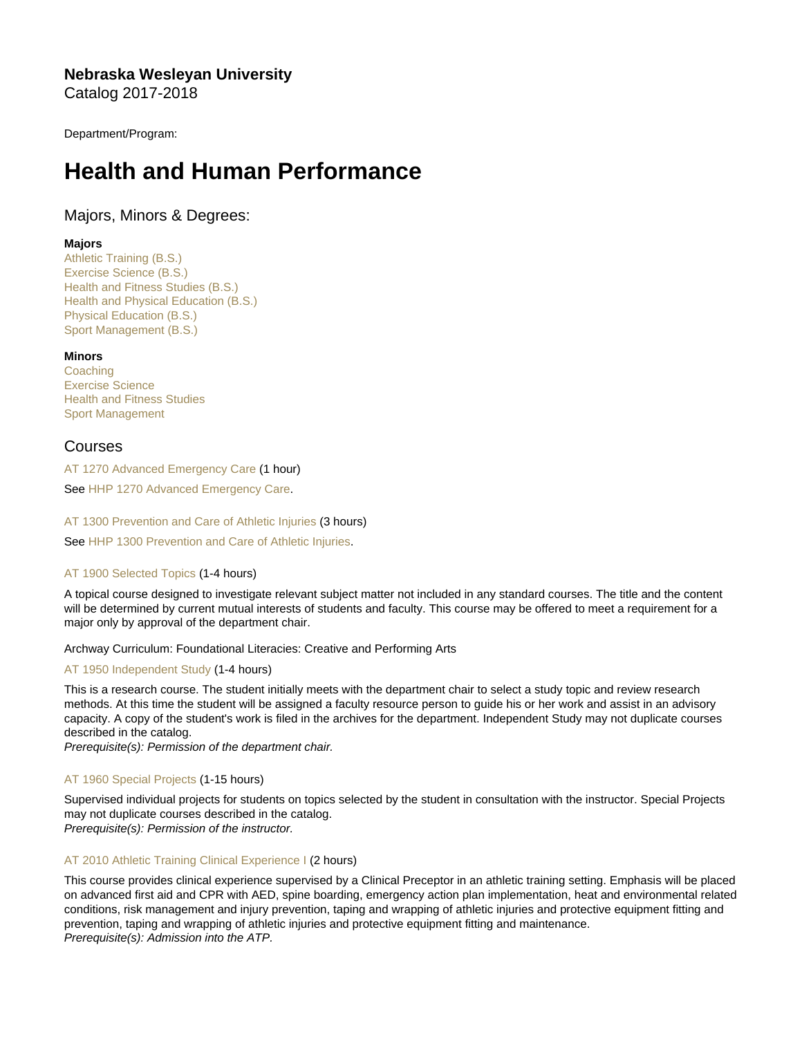Nebraska Wesleyan University Catalog 2017-2018

Department/Program:

# Health and Human Performance

# Majors, Minors & Degrees:

# Majors

[Athletic Training \(B.S.\)](https://catalog.nebrwesleyan.edu/cc/2017-2018/mmd/320494) [Exercise Science \(B.S.\)](https://catalog.nebrwesleyan.edu/cc/2017-2018/mmd/320579) [Health and Fitness Studies \(B.S.\)](https://catalog.nebrwesleyan.edu/cc/2017-2018/mmd/320580) [Health and Physical Education \(B.S.\)](https://catalog.nebrwesleyan.edu/cc/2017-2018/mmd/320497) [Physical Education \(B.S.\)](https://catalog.nebrwesleyan.edu/cc/2017-2018/mmd/320498) [Sport Management \(B.S.\)](https://catalog.nebrwesleyan.edu/cc/2017-2018/mmd/320581)

**Minors** 

**[Coaching](https://catalog.nebrwesleyan.edu/cc/2017-2018/mmd/320500)** [Exercise Science](https://catalog.nebrwesleyan.edu/cc/2017-2018/mmd/320501) [Health and Fitness Studies](https://catalog.nebrwesleyan.edu/cc/2017-2018/mmd/320502) [Sport Management](https://catalog.nebrwesleyan.edu/cc/2017-2018/mmd/320503)

# Courses

[AT 1270 Advanced Emergency Care](https://catalog.nebrwesleyan.edu/node/317693) (1 hour)

See [HHP 1270 Advanced Emergency Care.](https://catalog.nebrwesleyan.edu/cc/2021-2022/course/360354)

[AT 1300 Prevention and Care of Athletic Injuries](https://catalog.nebrwesleyan.edu/node/317694) (3 hours)

See [HHP 1300 Prevention and Care of Athletic Injuries.](https://catalog.nebrwesleyan.edu/cc/2021-2022/course/360355)

# [AT 1900 Selected Topics](https://catalog.nebrwesleyan.edu/node/318672) (1-4 hours)

A topical course designed to investigate relevant subject matter not included in any standard courses. The title and the content will be determined by current mutual interests of students and faculty. This course may be offered to meet a requirement for a major only by approval of the department chair.

Archway Curriculum: Foundational Literacies: Creative and Performing Arts

[AT 1950 Independent Study](https://catalog.nebrwesleyan.edu/node/318673) (1-4 hours)

This is a research course. The student initially meets with the department chair to select a study topic and review research methods. At this time the student will be assigned a faculty resource person to guide his or her work and assist in an advisory capacity. A copy of the student's work is filed in the archives for the department. Independent Study may not duplicate courses described in the catalog.

Prerequisite(s): Permission of the department chair.

# [AT 1960 Special Projects](https://catalog.nebrwesleyan.edu/node/318674) (1-15 hours)

Supervised individual projects for students on topics selected by the student in consultation with the instructor. Special Projects may not duplicate courses described in the catalog.

Prerequisite(s): Permission of the instructor.

# [AT 2010 Athletic Training Clinical Experience I](https://catalog.nebrwesleyan.edu/node/317695) (2 hours)

This course provides clinical experience supervised by a Clinical Preceptor in an athletic training setting. Emphasis will be placed on advanced first aid and CPR with AED, spine boarding, emergency action plan implementation, heat and environmental related conditions, risk management and injury prevention, taping and wrapping of athletic injuries and protective equipment fitting and prevention, taping and wrapping of athletic injuries and protective equipment fitting and maintenance. Prerequisite(s): Admission into the ATP.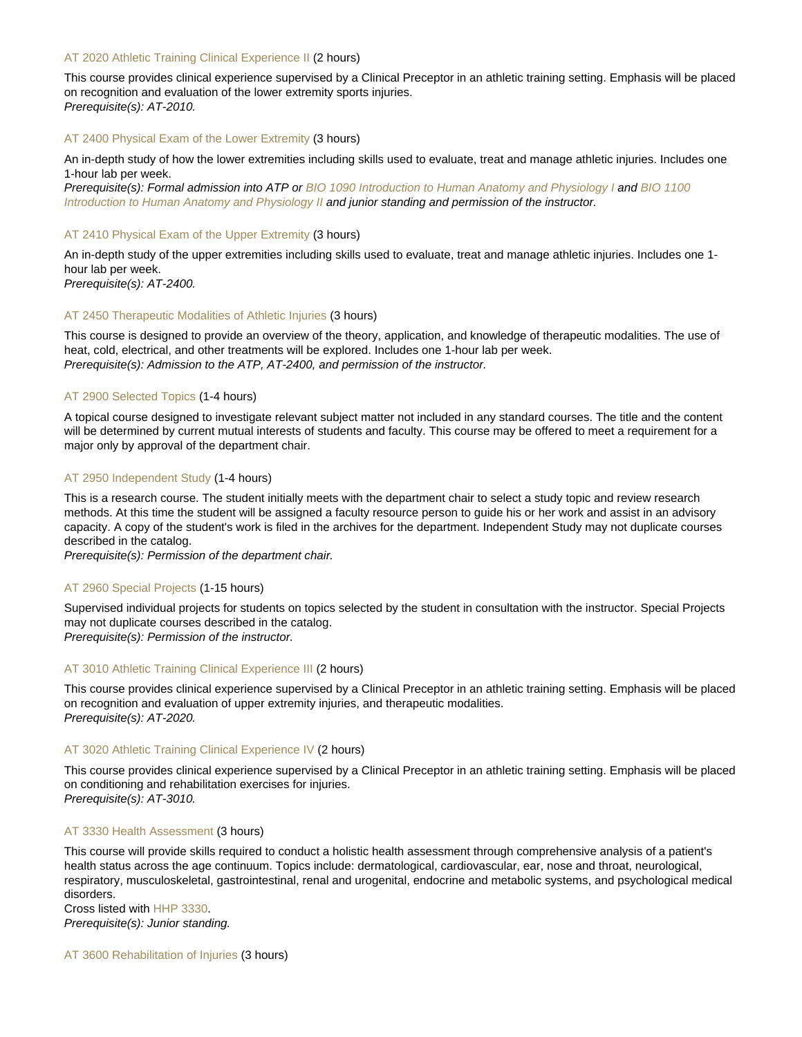# [AT 2020 Athletic Training Clinical Experience II](https://catalog.nebrwesleyan.edu/node/317696) (2 hours)

This course provides clinical experience supervised by a Clinical Preceptor in an athletic training setting. Emphasis will be placed on recognition and evaluation of the lower extremity sports injuries. Prerequisite(s): AT-2010.

#### [AT 2400 Physical Exam of the Lower Extremity](https://catalog.nebrwesleyan.edu/node/317697) (3 hours)

An in-depth study of how the lower extremities including skills used to evaluate, treat and manage athletic injuries. Includes one 1-hour lab per week.

Prerequisite(s): Formal admission into ATP or [BIO 1090 Introduction to Human Anatomy and Physiology I](https://catalog.nebrwesleyan.edu/cc/2021-2022/course/361238) and [BIO 1100](https://catalog.nebrwesleyan.edu/cc/2021-2022/course/361721) [Introduction to Human Anatomy and Physiology II](https://catalog.nebrwesleyan.edu/cc/2021-2022/course/361721) and junior standing and permission of the instructor.

#### [AT 2410 Physical Exam of the Upper Extremity](https://catalog.nebrwesleyan.edu/node/317698) (3 hours)

An in-depth study of the upper extremities including skills used to evaluate, treat and manage athletic injuries. Includes one 1 hour lab per week.

Prerequisite(s): AT-2400.

# [AT 2450 Therapeutic Modalities of Athletic Injuries](https://catalog.nebrwesleyan.edu/node/317699) (3 hours)

This course is designed to provide an overview of the theory, application, and knowledge of therapeutic modalities. The use of heat, cold, electrical, and other treatments will be explored. Includes one 1-hour lab per week. Prerequisite(s): Admission to the ATP, AT-2400, and permission of the instructor.

# [AT 2900 Selected Topics](https://catalog.nebrwesleyan.edu/node/318676) (1-4 hours)

A topical course designed to investigate relevant subject matter not included in any standard courses. The title and the content will be determined by current mutual interests of students and faculty. This course may be offered to meet a requirement for a major only by approval of the department chair.

# [AT 2950 Independent Study](https://catalog.nebrwesleyan.edu/node/318677) (1-4 hours)

This is a research course. The student initially meets with the department chair to select a study topic and review research methods. At this time the student will be assigned a faculty resource person to guide his or her work and assist in an advisory capacity. A copy of the student's work is filed in the archives for the department. Independent Study may not duplicate courses described in the catalog.

Prerequisite(s): Permission of the department chair.

# [AT 2960 Special Projects](https://catalog.nebrwesleyan.edu/node/318678) (1-15 hours)

Supervised individual projects for students on topics selected by the student in consultation with the instructor. Special Projects may not duplicate courses described in the catalog.

Prerequisite(s): Permission of the instructor.

# [AT 3010 Athletic Training Clinical Experience III](https://catalog.nebrwesleyan.edu/node/318152) (2 hours)

This course provides clinical experience supervised by a Clinical Preceptor in an athletic training setting. Emphasis will be placed on recognition and evaluation of upper extremity injuries, and therapeutic modalities. Prerequisite(s): AT-2020.

# [AT 3020 Athletic Training Clinical Experience IV](https://catalog.nebrwesleyan.edu/node/318153) (2 hours)

This course provides clinical experience supervised by a Clinical Preceptor in an athletic training setting. Emphasis will be placed on conditioning and rehabilitation exercises for injuries. Prerequisite(s): AT-3010.

#### [AT 3330 Health Assessment](https://catalog.nebrwesleyan.edu/node/317700) (3 hours)

This course will provide skills required to conduct a holistic health assessment through comprehensive analysis of a patient's health status across the age continuum. Topics include: dermatological, cardiovascular, ear, nose and throat, neurological, respiratory, musculoskeletal, gastrointestinal, renal and urogenital, endocrine and metabolic systems, and psychological medical disorders.

Cross listed with [HHP 3330.](https://catalog.nebrwesleyan.edu/cc/2021-2022/course/360384) Prerequisite(s): Junior standing.

[AT 3600 Rehabilitation of Injuries](https://catalog.nebrwesleyan.edu/node/317701) (3 hours)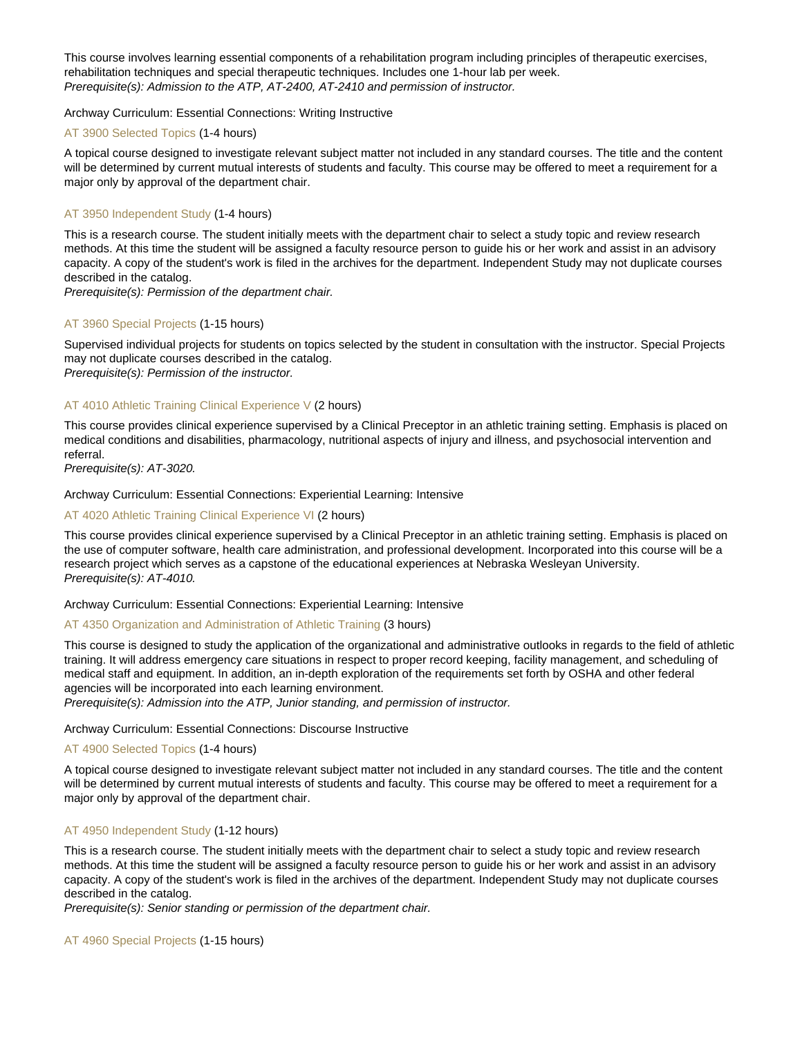This course involves learning essential components of a rehabilitation program including principles of therapeutic exercises, rehabilitation techniques and special therapeutic techniques. Includes one 1-hour lab per week. Prerequisite(s): Admission to the ATP, AT-2400, AT-2410 and permission of instructor.

# Archway Curriculum: Essential Connections: Writing Instructive

# [AT 3900 Selected Topics](https://catalog.nebrwesleyan.edu/node/318680) (1-4 hours)

A topical course designed to investigate relevant subject matter not included in any standard courses. The title and the content will be determined by current mutual interests of students and faculty. This course may be offered to meet a requirement for a major only by approval of the department chair.

# [AT 3950 Independent Study](https://catalog.nebrwesleyan.edu/node/318681) (1-4 hours)

This is a research course. The student initially meets with the department chair to select a study topic and review research methods. At this time the student will be assigned a faculty resource person to guide his or her work and assist in an advisory capacity. A copy of the student's work is filed in the archives for the department. Independent Study may not duplicate courses described in the catalog.

Prerequisite(s): Permission of the department chair.

# [AT 3960 Special Projects](https://catalog.nebrwesleyan.edu/node/318682) (1-15 hours)

Supervised individual projects for students on topics selected by the student in consultation with the instructor. Special Projects may not duplicate courses described in the catalog. Prerequisite(s): Permission of the instructor.

# [AT 4010 Athletic Training Clinical Experience V](https://catalog.nebrwesleyan.edu/node/318154) (2 hours)

This course provides clinical experience supervised by a Clinical Preceptor in an athletic training setting. Emphasis is placed on medical conditions and disabilities, pharmacology, nutritional aspects of injury and illness, and psychosocial intervention and referral.

Prerequisite(s): AT-3020.

#### Archway Curriculum: Essential Connections: Experiential Learning: Intensive

# [AT 4020 Athletic Training Clinical Experience VI](https://catalog.nebrwesleyan.edu/node/318155) (2 hours)

This course provides clinical experience supervised by a Clinical Preceptor in an athletic training setting. Emphasis is placed on the use of computer software, health care administration, and professional development. Incorporated into this course will be a research project which serves as a capstone of the educational experiences at Nebraska Wesleyan University. Prerequisite(s): AT-4010.

# Archway Curriculum: Essential Connections: Experiential Learning: Intensive

#### [AT 4350 Organization and Administration of Athletic Training](https://catalog.nebrwesleyan.edu/node/317702) (3 hours)

This course is designed to study the application of the organizational and administrative outlooks in regards to the field of athletic training. It will address emergency care situations in respect to proper record keeping, facility management, and scheduling of medical staff and equipment. In addition, an in-depth exploration of the requirements set forth by OSHA and other federal agencies will be incorporated into each learning environment.

Prerequisite(s): Admission into the ATP, Junior standing, and permission of instructor.

Archway Curriculum: Essential Connections: Discourse Instructive

#### [AT 4900 Selected Topics](https://catalog.nebrwesleyan.edu/node/318684) (1-4 hours)

A topical course designed to investigate relevant subject matter not included in any standard courses. The title and the content will be determined by current mutual interests of students and faculty. This course may be offered to meet a requirement for a major only by approval of the department chair.

# [AT 4950 Independent Study](https://catalog.nebrwesleyan.edu/node/317703) (1-12 hours)

This is a research course. The student initially meets with the department chair to select a study topic and review research methods. At this time the student will be assigned a faculty resource person to guide his or her work and assist in an advisory capacity. A copy of the student's work is filed in the archives of the department. Independent Study may not duplicate courses described in the catalog.

Prerequisite(s): Senior standing or permission of the department chair.

#### [AT 4960 Special Projects](https://catalog.nebrwesleyan.edu/node/317704) (1-15 hours)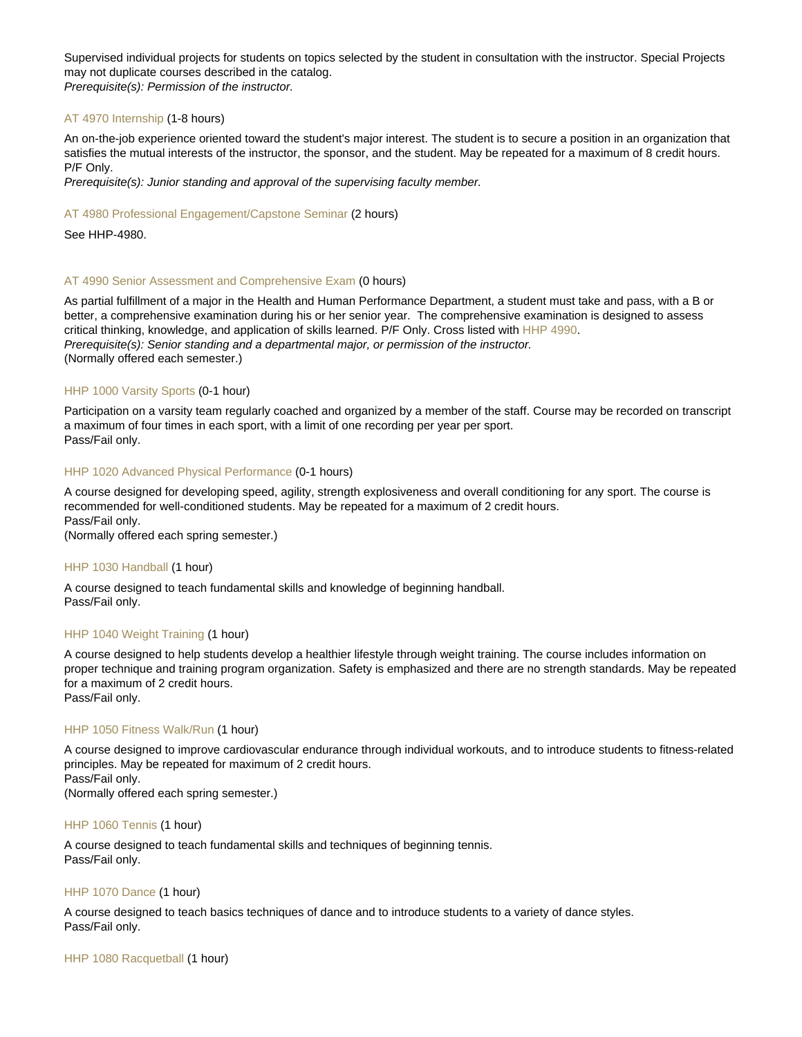Supervised individual projects for students on topics selected by the student in consultation with the instructor. Special Projects may not duplicate courses described in the catalog. Prerequisite(s): Permission of the instructor.

# [AT 4970 Internship](https://catalog.nebrwesleyan.edu/node/317705) (1-8 hours)

An on-the-job experience oriented toward the student's major interest. The student is to secure a position in an organization that satisfies the mutual interests of the instructor, the sponsor, and the student. May be repeated for a maximum of 8 credit hours. P/F Only.

Prerequisite(s): Junior standing and approval of the supervising faculty member.

#### [AT 4980 Professional Engagement/Capstone Seminar](https://catalog.nebrwesleyan.edu/node/317706) (2 hours)

See HHP-4980.

# [AT 4990 Senior Assessment and Comprehensive Exam](https://catalog.nebrwesleyan.edu/node/317707) (0 hours)

As partial fulfillment of a major in the Health and Human Performance Department, a student must take and pass, with a B or better, a comprehensive examination during his or her senior year. The comprehensive examination is designed to assess critical thinking, knowledge, and application of skills learned. P/F Only. Cross listed with [HHP 4990.](https://catalog.nebrwesleyan.edu/cc/2021-2022/course/360406) Prerequisite(s): Senior standing and a departmental major, or permission of the instructor. (Normally offered each semester.)

# [HHP 1000 Varsity Sports](https://catalog.nebrwesleyan.edu/node/317775) (0-1 hour)

Participation on a varsity team regularly coached and organized by a member of the staff. Course may be recorded on transcript a maximum of four times in each sport, with a limit of one recording per year per sport. Pass/Fail only.

# [HHP 1020 Advanced Physical Performance](https://catalog.nebrwesleyan.edu/node/317777) (0-1 hours)

A course designed for developing speed, agility, strength explosiveness and overall conditioning for any sport. The course is recommended for well-conditioned students. May be repeated for a maximum of 2 credit hours. Pass/Fail only. (Normally offered each spring semester.)

#### [HHP 1030 Handball](https://catalog.nebrwesleyan.edu/node/317778) (1 hour)

A course designed to teach fundamental skills and knowledge of beginning handball. Pass/Fail only.

# [HHP 1040 Weight Training](https://catalog.nebrwesleyan.edu/node/317779) (1 hour)

A course designed to help students develop a healthier lifestyle through weight training. The course includes information on proper technique and training program organization. Safety is emphasized and there are no strength standards. May be repeated for a maximum of 2 credit hours.

Pass/Fail only.

# [HHP 1050 Fitness Walk/Run](https://catalog.nebrwesleyan.edu/node/317780) (1 hour)

A course designed to improve cardiovascular endurance through individual workouts, and to introduce students to fitness-related principles. May be repeated for maximum of 2 credit hours. Pass/Fail only.

(Normally offered each spring semester.)

#### [HHP 1060 Tennis](https://catalog.nebrwesleyan.edu/node/317781) (1 hour)

A course designed to teach fundamental skills and techniques of beginning tennis. Pass/Fail only.

#### [HHP 1070 Dance](https://catalog.nebrwesleyan.edu/node/317782) (1 hour)

A course designed to teach basics techniques of dance and to introduce students to a variety of dance styles. Pass/Fail only.

[HHP 1080 Racquetball](https://catalog.nebrwesleyan.edu/node/317783) (1 hour)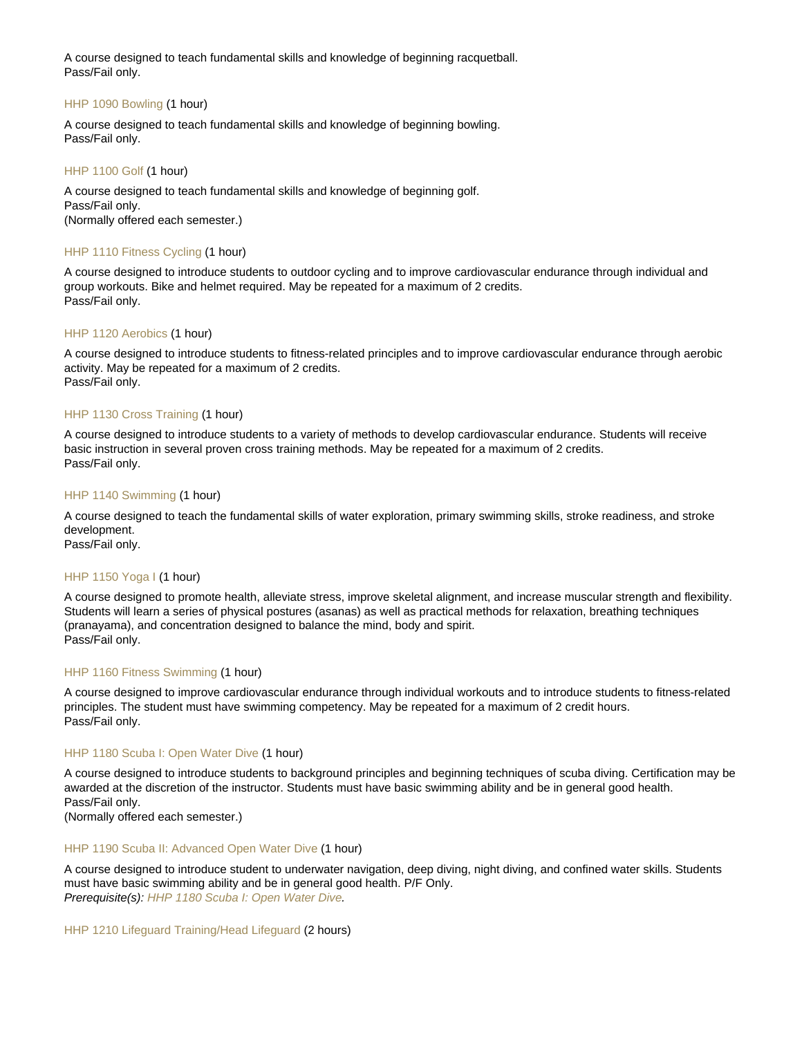A course designed to teach fundamental skills and knowledge of beginning racquetball. Pass/Fail only.

# [HHP 1090 Bowling](https://catalog.nebrwesleyan.edu/node/317784) (1 hour)

A course designed to teach fundamental skills and knowledge of beginning bowling. Pass/Fail only.

# [HHP 1100 Golf](https://catalog.nebrwesleyan.edu/node/317785) (1 hour)

A course designed to teach fundamental skills and knowledge of beginning golf. Pass/Fail only. (Normally offered each semester.)

# [HHP 1110 Fitness Cycling](https://catalog.nebrwesleyan.edu/node/317786) (1 hour)

A course designed to introduce students to outdoor cycling and to improve cardiovascular endurance through individual and group workouts. Bike and helmet required. May be repeated for a maximum of 2 credits. Pass/Fail only.

# [HHP 1120 Aerobics](https://catalog.nebrwesleyan.edu/node/317787) (1 hour)

A course designed to introduce students to fitness-related principles and to improve cardiovascular endurance through aerobic activity. May be repeated for a maximum of 2 credits. Pass/Fail only.

# [HHP 1130 Cross Training](https://catalog.nebrwesleyan.edu/node/317788) (1 hour)

A course designed to introduce students to a variety of methods to develop cardiovascular endurance. Students will receive basic instruction in several proven cross training methods. May be repeated for a maximum of 2 credits. Pass/Fail only.

#### [HHP 1140 Swimming](https://catalog.nebrwesleyan.edu/node/317789) (1 hour)

A course designed to teach the fundamental skills of water exploration, primary swimming skills, stroke readiness, and stroke development.

Pass/Fail only.

#### [HHP 1150 Yoga I](https://catalog.nebrwesleyan.edu/node/317790) (1 hour)

A course designed to promote health, alleviate stress, improve skeletal alignment, and increase muscular strength and flexibility. Students will learn a series of physical postures (asanas) as well as practical methods for relaxation, breathing techniques (pranayama), and concentration designed to balance the mind, body and spirit. Pass/Fail only.

#### [HHP 1160 Fitness Swimming](https://catalog.nebrwesleyan.edu/node/317791) (1 hour)

A course designed to improve cardiovascular endurance through individual workouts and to introduce students to fitness-related principles. The student must have swimming competency. May be repeated for a maximum of 2 credit hours. Pass/Fail only.

#### [HHP 1180 Scuba I: Open Water Dive](https://catalog.nebrwesleyan.edu/node/317793) (1 hour)

A course designed to introduce students to background principles and beginning techniques of scuba diving. Certification may be awarded at the discretion of the instructor. Students must have basic swimming ability and be in general good health. Pass/Fail only.

(Normally offered each semester.)

# [HHP 1190 Scuba II: Advanced Open Water Dive](https://catalog.nebrwesleyan.edu/node/317794) (1 hour)

A course designed to introduce student to underwater navigation, deep diving, night diving, and confined water skills. Students must have basic swimming ability and be in general good health. P/F Only. Prerequisite(s): [HHP 1180 Scuba I: Open Water Dive](https://catalog.nebrwesleyan.edu/cc/2021-2022/course/360351).

#### [HHP 1210 Lifeguard Training/Head Lifeguard](https://catalog.nebrwesleyan.edu/node/318162) (2 hours)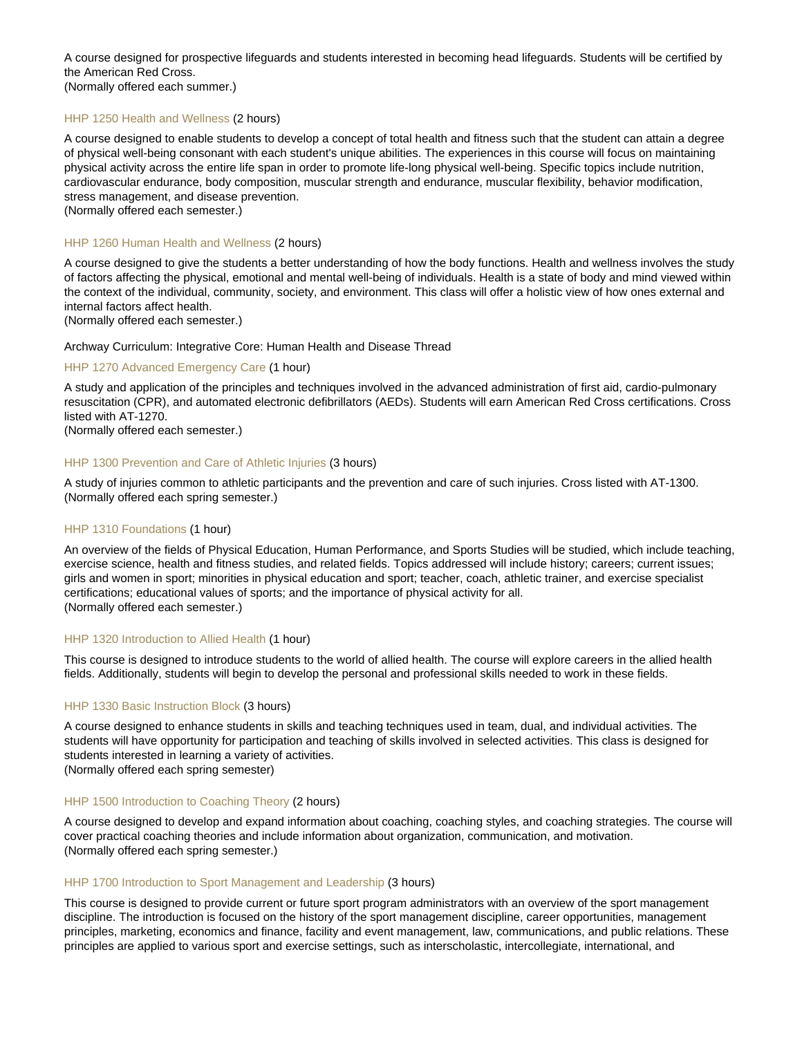A course designed for prospective lifeguards and students interested in becoming head lifeguards. Students will be certified by the American Red Cross. (Normally offered each summer.)

# [HHP 1250 Health and Wellness](https://catalog.nebrwesleyan.edu/node/317795) (2 hours)

A course designed to enable students to develop a concept of total health and fitness such that the student can attain a degree of physical well-being consonant with each student's unique abilities. The experiences in this course will focus on maintaining physical activity across the entire life span in order to promote life-long physical well-being. Specific topics include nutrition, cardiovascular endurance, body composition, muscular strength and endurance, muscular flexibility, behavior modification, stress management, and disease prevention.

(Normally offered each semester.)

# [HHP 1260 Human Health and Wellness](https://catalog.nebrwesleyan.edu/node/325889) (2 hours)

A course designed to give the students a better understanding of how the body functions. Health and wellness involves the study of factors affecting the physical, emotional and mental well-being of individuals. Health is a state of body and mind viewed within the context of the individual, community, society, and environment. This class will offer a holistic view of how ones external and internal factors affect health.

(Normally offered each semester.)

#### Archway Curriculum: Integrative Core: Human Health and Disease Thread

#### [HHP 1270 Advanced Emergency Care](https://catalog.nebrwesleyan.edu/node/317797) (1 hour)

A study and application of the principles and techniques involved in the advanced administration of first aid, cardio-pulmonary resuscitation (CPR), and automated electronic defibrillators (AEDs). Students will earn American Red Cross certifications. Cross listed with AT-1270.

(Normally offered each semester.)

# [HHP 1300 Prevention and Care of Athletic Injuries](https://catalog.nebrwesleyan.edu/node/317798) (3 hours)

A study of injuries common to athletic participants and the prevention and care of such injuries. Cross listed with AT-1300. (Normally offered each spring semester.)

# [HHP 1310 Foundations](https://catalog.nebrwesleyan.edu/node/317799) (1 hour)

An overview of the fields of Physical Education, Human Performance, and Sports Studies will be studied, which include teaching, exercise science, health and fitness studies, and related fields. Topics addressed will include history; careers; current issues; girls and women in sport; minorities in physical education and sport; teacher, coach, athletic trainer, and exercise specialist certifications; educational values of sports; and the importance of physical activity for all. (Normally offered each semester.)

# [HHP 1320 Introduction to Allied Health](https://catalog.nebrwesleyan.edu/node/317800) (1 hour)

This course is designed to introduce students to the world of allied health. The course will explore careers in the allied health fields. Additionally, students will begin to develop the personal and professional skills needed to work in these fields.

# [HHP 1330 Basic Instruction Block](https://catalog.nebrwesleyan.edu/node/318163) (3 hours)

A course designed to enhance students in skills and teaching techniques used in team, dual, and individual activities. The students will have opportunity for participation and teaching of skills involved in selected activities. This class is designed for students interested in learning a variety of activities.

(Normally offered each spring semester)

# [HHP 1500 Introduction to Coaching Theory](https://catalog.nebrwesleyan.edu/node/317801) (2 hours)

A course designed to develop and expand information about coaching, coaching styles, and coaching strategies. The course will cover practical coaching theories and include information about organization, communication, and motivation. (Normally offered each spring semester.)

#### [HHP 1700 Introduction to Sport Management and Leadership](https://catalog.nebrwesleyan.edu/node/318164) (3 hours)

This course is designed to provide current or future sport program administrators with an overview of the sport management discipline. The introduction is focused on the history of the sport management discipline, career opportunities, management principles, marketing, economics and finance, facility and event management, law, communications, and public relations. These principles are applied to various sport and exercise settings, such as interscholastic, intercollegiate, international, and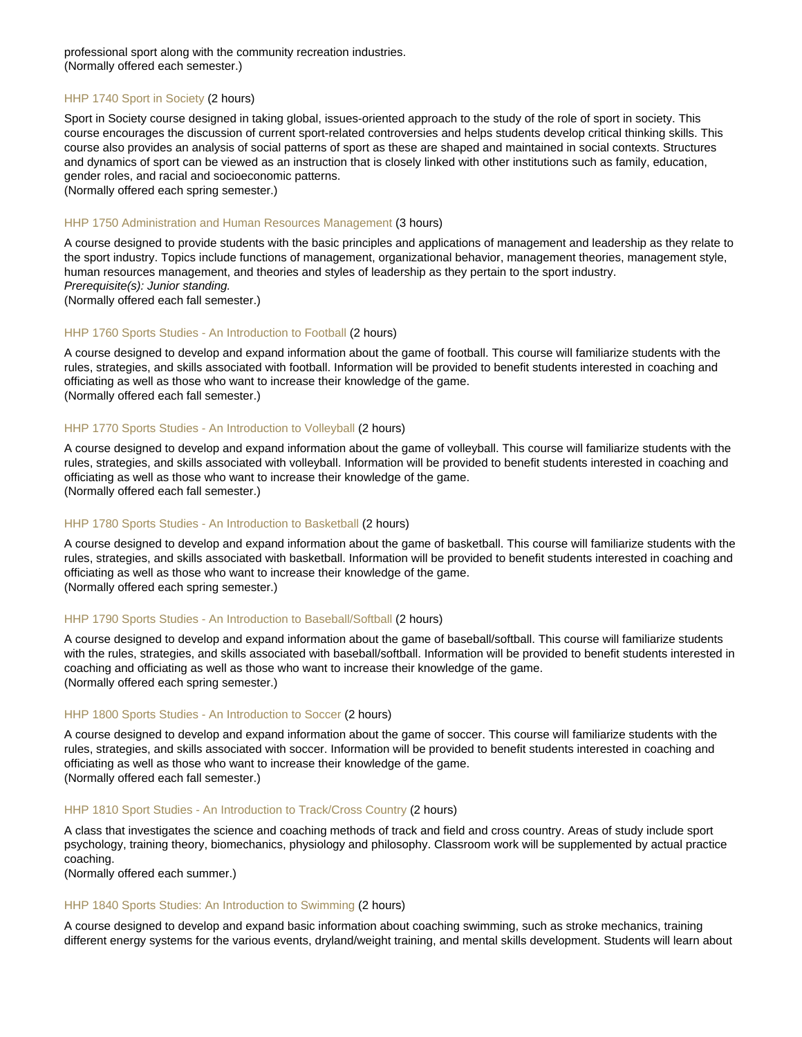professional sport along with the community recreation industries. (Normally offered each semester.)

# [HHP 1740 Sport in Society](https://catalog.nebrwesleyan.edu/node/319224) (2 hours)

Sport in Society course designed in taking global, issues-oriented approach to the study of the role of sport in society. This course encourages the discussion of current sport-related controversies and helps students develop critical thinking skills. This course also provides an analysis of social patterns of sport as these are shaped and maintained in social contexts. Structures and dynamics of sport can be viewed as an instruction that is closely linked with other institutions such as family, education, gender roles, and racial and socioeconomic patterns.

(Normally offered each spring semester.)

# [HHP 1750 Administration and Human Resources Management](https://catalog.nebrwesleyan.edu/node/317803) (3 hours)

A course designed to provide students with the basic principles and applications of management and leadership as they relate to the sport industry. Topics include functions of management, organizational behavior, management theories, management style, human resources management, and theories and styles of leadership as they pertain to the sport industry. Prerequisite(s): Junior standing.

(Normally offered each fall semester.)

#### [HHP 1760 Sports Studies - An Introduction to Football](https://catalog.nebrwesleyan.edu/node/317804) (2 hours)

A course designed to develop and expand information about the game of football. This course will familiarize students with the rules, strategies, and skills associated with football. Information will be provided to benefit students interested in coaching and officiating as well as those who want to increase their knowledge of the game. (Normally offered each fall semester.)

#### [HHP 1770 Sports Studies - An Introduction to Volleyball](https://catalog.nebrwesleyan.edu/node/317805) (2 hours)

A course designed to develop and expand information about the game of volleyball. This course will familiarize students with the rules, strategies, and skills associated with volleyball. Information will be provided to benefit students interested in coaching and officiating as well as those who want to increase their knowledge of the game. (Normally offered each fall semester.)

#### [HHP 1780 Sports Studies - An Introduction to Basketball](https://catalog.nebrwesleyan.edu/node/317806) (2 hours)

A course designed to develop and expand information about the game of basketball. This course will familiarize students with the rules, strategies, and skills associated with basketball. Information will be provided to benefit students interested in coaching and officiating as well as those who want to increase their knowledge of the game. (Normally offered each spring semester.)

#### [HHP 1790 Sports Studies - An Introduction to Baseball/Softball](https://catalog.nebrwesleyan.edu/node/317807) (2 hours)

A course designed to develop and expand information about the game of baseball/softball. This course will familiarize students with the rules, strategies, and skills associated with baseball/softball. Information will be provided to benefit students interested in coaching and officiating as well as those who want to increase their knowledge of the game. (Normally offered each spring semester.)

#### [HHP 1800 Sports Studies - An Introduction to Soccer](https://catalog.nebrwesleyan.edu/node/317808) (2 hours)

A course designed to develop and expand information about the game of soccer. This course will familiarize students with the rules, strategies, and skills associated with soccer. Information will be provided to benefit students interested in coaching and officiating as well as those who want to increase their knowledge of the game. (Normally offered each fall semester.)

#### [HHP 1810 Sport Studies - An Introduction to Track/Cross Country](https://catalog.nebrwesleyan.edu/node/317809) (2 hours)

A class that investigates the science and coaching methods of track and field and cross country. Areas of study include sport psychology, training theory, biomechanics, physiology and philosophy. Classroom work will be supplemented by actual practice coaching.

(Normally offered each summer.)

#### [HHP 1840 Sports Studies: An Introduction to Swimming](https://catalog.nebrwesleyan.edu/node/320376) (2 hours)

A course designed to develop and expand basic information about coaching swimming, such as stroke mechanics, training different energy systems for the various events, dryland/weight training, and mental skills development. Students will learn about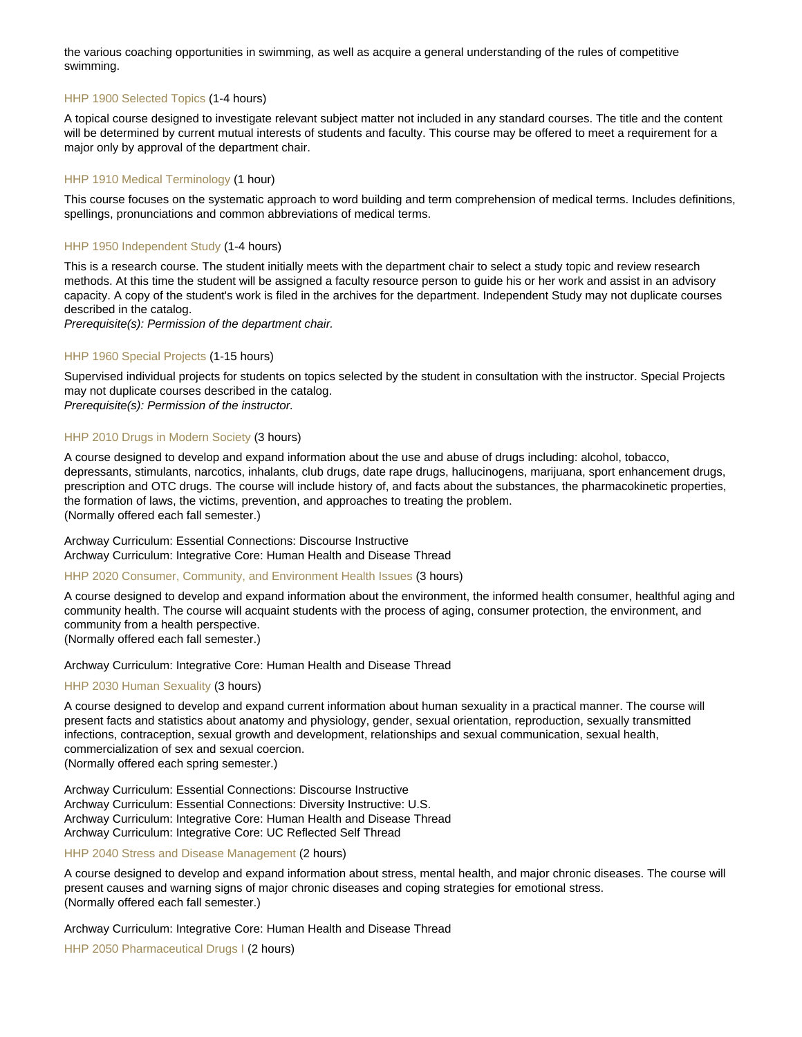the various coaching opportunities in swimming, as well as acquire a general understanding of the rules of competitive swimming.

# [HHP 1900 Selected Topics](https://catalog.nebrwesleyan.edu/node/318888) (1-4 hours)

A topical course designed to investigate relevant subject matter not included in any standard courses. The title and the content will be determined by current mutual interests of students and faculty. This course may be offered to meet a requirement for a major only by approval of the department chair.

# [HHP 1910 Medical Terminology](https://catalog.nebrwesleyan.edu/node/319874) (1 hour)

This course focuses on the systematic approach to word building and term comprehension of medical terms. Includes definitions, spellings, pronunciations and common abbreviations of medical terms.

#### [HHP 1950 Independent Study](https://catalog.nebrwesleyan.edu/node/318889) (1-4 hours)

This is a research course. The student initially meets with the department chair to select a study topic and review research methods. At this time the student will be assigned a faculty resource person to guide his or her work and assist in an advisory capacity. A copy of the student's work is filed in the archives for the department. Independent Study may not duplicate courses described in the catalog.

Prerequisite(s): Permission of the department chair.

## [HHP 1960 Special Projects](https://catalog.nebrwesleyan.edu/node/318890) (1-15 hours)

Supervised individual projects for students on topics selected by the student in consultation with the instructor. Special Projects may not duplicate courses described in the catalog.

Prerequisite(s): Permission of the instructor.

# [HHP 2010 Drugs in Modern Society](https://catalog.nebrwesleyan.edu/node/317810) (3 hours)

A course designed to develop and expand information about the use and abuse of drugs including: alcohol, tobacco, depressants, stimulants, narcotics, inhalants, club drugs, date rape drugs, hallucinogens, marijuana, sport enhancement drugs, prescription and OTC drugs. The course will include history of, and facts about the substances, the pharmacokinetic properties, the formation of laws, the victims, prevention, and approaches to treating the problem. (Normally offered each fall semester.)

Archway Curriculum: Essential Connections: Discourse Instructive Archway Curriculum: Integrative Core: Human Health and Disease Thread

[HHP 2020 Consumer, Community, and Environment Health Issues](https://catalog.nebrwesleyan.edu/node/317811) (3 hours)

A course designed to develop and expand information about the environment, the informed health consumer, healthful aging and community health. The course will acquaint students with the process of aging, consumer protection, the environment, and community from a health perspective. (Normally offered each fall semester.)

Archway Curriculum: Integrative Core: Human Health and Disease Thread

#### [HHP 2030 Human Sexuality](https://catalog.nebrwesleyan.edu/node/317812) (3 hours)

A course designed to develop and expand current information about human sexuality in a practical manner. The course will present facts and statistics about anatomy and physiology, gender, sexual orientation, reproduction, sexually transmitted infections, contraception, sexual growth and development, relationships and sexual communication, sexual health, commercialization of sex and sexual coercion.

(Normally offered each spring semester.)

Archway Curriculum: Essential Connections: Discourse Instructive Archway Curriculum: Essential Connections: Diversity Instructive: U.S. Archway Curriculum: Integrative Core: Human Health and Disease Thread Archway Curriculum: Integrative Core: UC Reflected Self Thread

[HHP 2040 Stress and Disease Management](https://catalog.nebrwesleyan.edu/node/317813) (2 hours)

A course designed to develop and expand information about stress, mental health, and major chronic diseases. The course will present causes and warning signs of major chronic diseases and coping strategies for emotional stress. (Normally offered each fall semester.)

Archway Curriculum: Integrative Core: Human Health and Disease Thread

[HHP 2050 Pharmaceutical Drugs I](https://catalog.nebrwesleyan.edu/node/319917) (2 hours)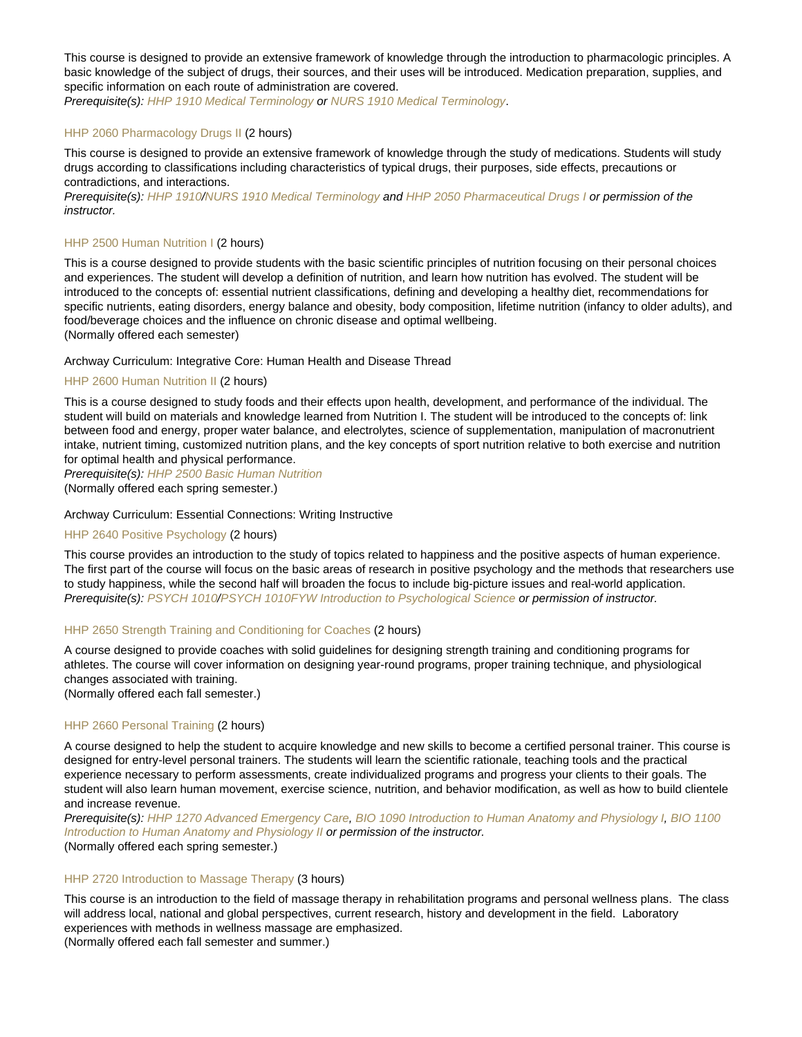This course is designed to provide an extensive framework of knowledge through the introduction to pharmacologic principles. A basic knowledge of the subject of drugs, their sources, and their uses will be introduced. Medication preparation, supplies, and specific information on each route of administration are covered.

Prerequisite(s): [HHP 1910 Medical Terminology](https://catalog.nebrwesleyan.edu/cc/2021-2022/course/362423) or [NURS 1910 Medical Terminology](https://catalog.nebrwesleyan.edu/cc/2021-2022/course/362424).

# [HHP 2060 Pharmacology Drugs II](https://catalog.nebrwesleyan.edu/node/320025) (2 hours)

This course is designed to provide an extensive framework of knowledge through the study of medications. Students will study drugs according to classifications including characteristics of typical drugs, their purposes, side effects, precautions or contradictions, and interactions.

Prerequisite(s): [HHP 1910](https://catalog.nebrwesleyan.edu/cc/2021-2022/course/362423)/[NURS 1910 Medical Terminology](https://catalog.nebrwesleyan.edu/cc/2021-2022/course/362424) and [HHP 2050 Pharmaceutical Drugs I](https://catalog.nebrwesleyan.edu/cc/2021-2022/course/362465) or permission of the instructor.

# [HHP 2500 Human Nutrition I](https://catalog.nebrwesleyan.edu/node/317816) (2 hours)

This is a course designed to provide students with the basic scientific principles of nutrition focusing on their personal choices and experiences. The student will develop a definition of nutrition, and learn how nutrition has evolved. The student will be introduced to the concepts of: essential nutrient classifications, defining and developing a healthy diet, recommendations for specific nutrients, eating disorders, energy balance and obesity, body composition, lifetime nutrition (infancy to older adults), and food/beverage choices and the influence on chronic disease and optimal wellbeing. (Normally offered each semester)

Archway Curriculum: Integrative Core: Human Health and Disease Thread

# [HHP 2600 Human Nutrition II](https://catalog.nebrwesleyan.edu/node/319969) (2 hours)

This is a course designed to study foods and their effects upon health, development, and performance of the individual. The student will build on materials and knowledge learned from Nutrition I. The student will be introduced to the concepts of: link between food and energy, proper water balance, and electrolytes, science of supplementation, manipulation of macronutrient intake, nutrient timing, customized nutrition plans, and the key concepts of sport nutrition relative to both exercise and nutrition for optimal health and physical performance.

Prerequisite(s): [HHP 2500 Basic Human Nutrition](https://catalog.nebrwesleyan.edu/cc/2021-2022/course/360373)

(Normally offered each spring semester.)

# Archway Curriculum: Essential Connections: Writing Instructive

## [HHP 2640 Positive Psychology](https://catalog.nebrwesleyan.edu/node/319915) (2 hours)

This course provides an introduction to the study of topics related to happiness and the positive aspects of human experience. The first part of the course will focus on the basic areas of research in positive psychology and the methods that researchers use to study happiness, while the second half will broaden the focus to include big-picture issues and real-world application. Prerequisite(s): [PSYCH 1010](https://catalog.nebrwesleyan.edu/cc/2021-2022/course/359804)/[PSYCH 1010FYW Introduction to Psychological Science](https://catalog.nebrwesleyan.edu/cc/2021-2022/course/361710) or permission of instructor.

#### [HHP 2650 Strength Training and Conditioning for Coaches](https://catalog.nebrwesleyan.edu/node/318165) (2 hours)

A course designed to provide coaches with solid guidelines for designing strength training and conditioning programs for athletes. The course will cover information on designing year-round programs, proper training technique, and physiological changes associated with training. (Normally offered each fall semester.)

# [HHP 2660 Personal Training](https://catalog.nebrwesleyan.edu/node/317817) (2 hours)

A course designed to help the student to acquire knowledge and new skills to become a certified personal trainer. This course is designed for entry-level personal trainers. The students will learn the scientific rationale, teaching tools and the practical experience necessary to perform assessments, create individualized programs and progress your clients to their goals. The student will also learn human movement, exercise science, nutrition, and behavior modification, as well as how to build clientele and increase revenue.

Prerequisite(s): [HHP 1270 Advanced Emergency Care,](https://catalog.nebrwesleyan.edu/cc/2021-2022/course/360354) [BIO 1090 Introduction to Human Anatomy and Physiology I](https://catalog.nebrwesleyan.edu/cc/2021-2022/course/361238), [BIO 1100](https://catalog.nebrwesleyan.edu/cc/2021-2022/course/361721) [Introduction to Human Anatomy and Physiology II](https://catalog.nebrwesleyan.edu/cc/2021-2022/course/361721) or permission of the instructor. (Normally offered each spring semester.)

#### [HHP 2720 Introduction to Massage Therapy](https://catalog.nebrwesleyan.edu/node/317818) (3 hours)

This course is an introduction to the field of massage therapy in rehabilitation programs and personal wellness plans. The class will address local, national and global perspectives, current research, history and development in the field. Laboratory experiences with methods in wellness massage are emphasized.

(Normally offered each fall semester and summer.)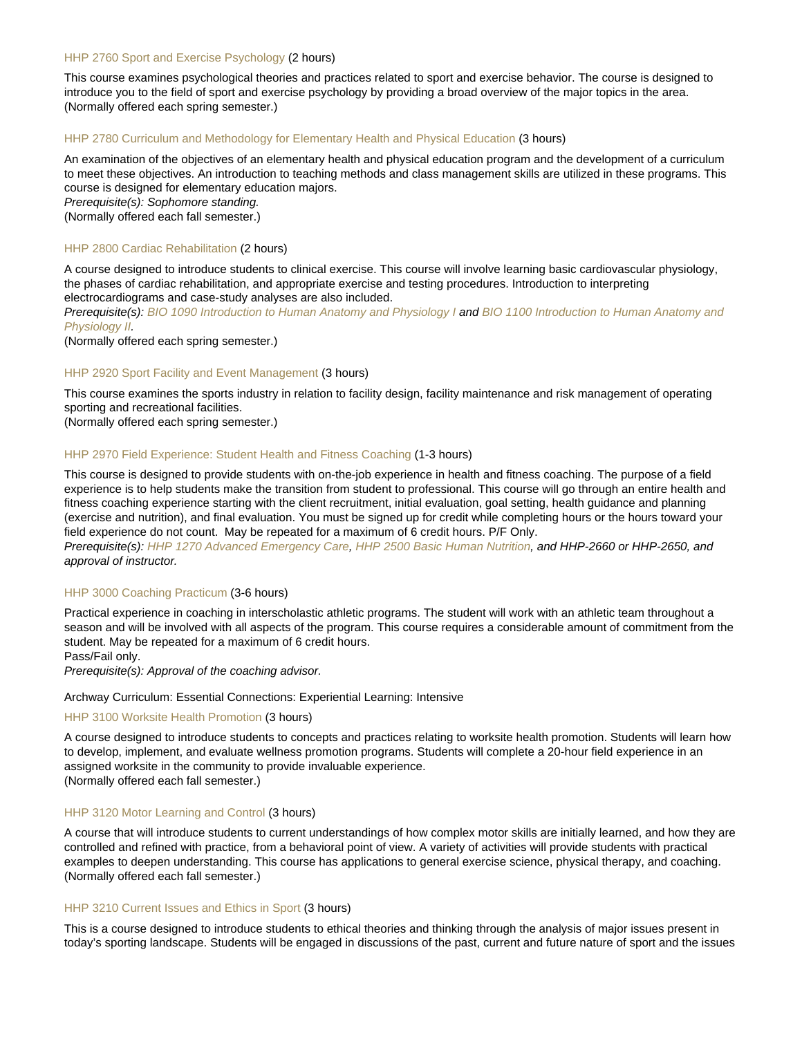# [HHP 2760 Sport and Exercise Psychology](https://catalog.nebrwesleyan.edu/node/318166) (2 hours)

This course examines psychological theories and practices related to sport and exercise behavior. The course is designed to introduce you to the field of sport and exercise psychology by providing a broad overview of the major topics in the area. (Normally offered each spring semester.)

# [HHP 2780 Curriculum and Methodology for Elementary Health and Physical Education](https://catalog.nebrwesleyan.edu/node/317820) (3 hours)

An examination of the objectives of an elementary health and physical education program and the development of a curriculum to meet these objectives. An introduction to teaching methods and class management skills are utilized in these programs. This course is designed for elementary education majors.

Prerequisite(s): Sophomore standing.

(Normally offered each fall semester.)

# [HHP 2800 Cardiac Rehabilitation](https://catalog.nebrwesleyan.edu/node/317821) (2 hours)

A course designed to introduce students to clinical exercise. This course will involve learning basic cardiovascular physiology, the phases of cardiac rehabilitation, and appropriate exercise and testing procedures. Introduction to interpreting electrocardiograms and case-study analyses are also included.

Prerequisite(s): [BIO 1090 Introduction to Human Anatomy and Physiology I](https://catalog.nebrwesleyan.edu/cc/2021-2022/course/361238) and [BIO 1100 Introduction to Human Anatomy and](https://catalog.nebrwesleyan.edu/cc/2021-2022/course/361721) [Physiology II](https://catalog.nebrwesleyan.edu/cc/2021-2022/course/361721).

(Normally offered each spring semester.)

# [HHP 2920 Sport Facility and Event Management](https://catalog.nebrwesleyan.edu/node/317822) (3 hours)

This course examines the sports industry in relation to facility design, facility maintenance and risk management of operating sporting and recreational facilities.

(Normally offered each spring semester.)

# [HHP 2970 Field Experience: Student Health and Fitness Coaching](https://catalog.nebrwesleyan.edu/node/317823) (1-3 hours)

This course is designed to provide students with on-the-job experience in health and fitness coaching. The purpose of a field experience is to help students make the transition from student to professional. This course will go through an entire health and fitness coaching experience starting with the client recruitment, initial evaluation, goal setting, health guidance and planning (exercise and nutrition), and final evaluation. You must be signed up for credit while completing hours or the hours toward your field experience do not count. May be repeated for a maximum of 6 credit hours. P/F Only.

Prerequisite(s): [HHP 1270 Advanced Emergency Care,](https://catalog.nebrwesleyan.edu/cc/2021-2022/course/360354) [HHP 2500 Basic Human Nutrition](https://catalog.nebrwesleyan.edu/cc/2021-2022/course/360373), and HHP-2660 or HHP-2650, and approval of instructor.

#### [HHP 3000 Coaching Practicum](https://catalog.nebrwesleyan.edu/node/317824) (3-6 hours)

Practical experience in coaching in interscholastic athletic programs. The student will work with an athletic team throughout a season and will be involved with all aspects of the program. This course requires a considerable amount of commitment from the student. May be repeated for a maximum of 6 credit hours.

Pass/Fail only.

Prerequisite(s): Approval of the coaching advisor.

# Archway Curriculum: Essential Connections: Experiential Learning: Intensive

#### [HHP 3100 Worksite Health Promotion](https://catalog.nebrwesleyan.edu/node/317825) (3 hours)

A course designed to introduce students to concepts and practices relating to worksite health promotion. Students will learn how to develop, implement, and evaluate wellness promotion programs. Students will complete a 20-hour field experience in an assigned worksite in the community to provide invaluable experience. (Normally offered each fall semester.)

#### [HHP 3120 Motor Learning and Control](https://catalog.nebrwesleyan.edu/node/318168) (3 hours)

A course that will introduce students to current understandings of how complex motor skills are initially learned, and how they are controlled and refined with practice, from a behavioral point of view. A variety of activities will provide students with practical examples to deepen understanding. This course has applications to general exercise science, physical therapy, and coaching. (Normally offered each fall semester.)

## [HHP 3210 Current Issues and Ethics in Sport](https://catalog.nebrwesleyan.edu/node/318169) (3 hours)

This is a course designed to introduce students to ethical theories and thinking through the analysis of major issues present in today's sporting landscape. Students will be engaged in discussions of the past, current and future nature of sport and the issues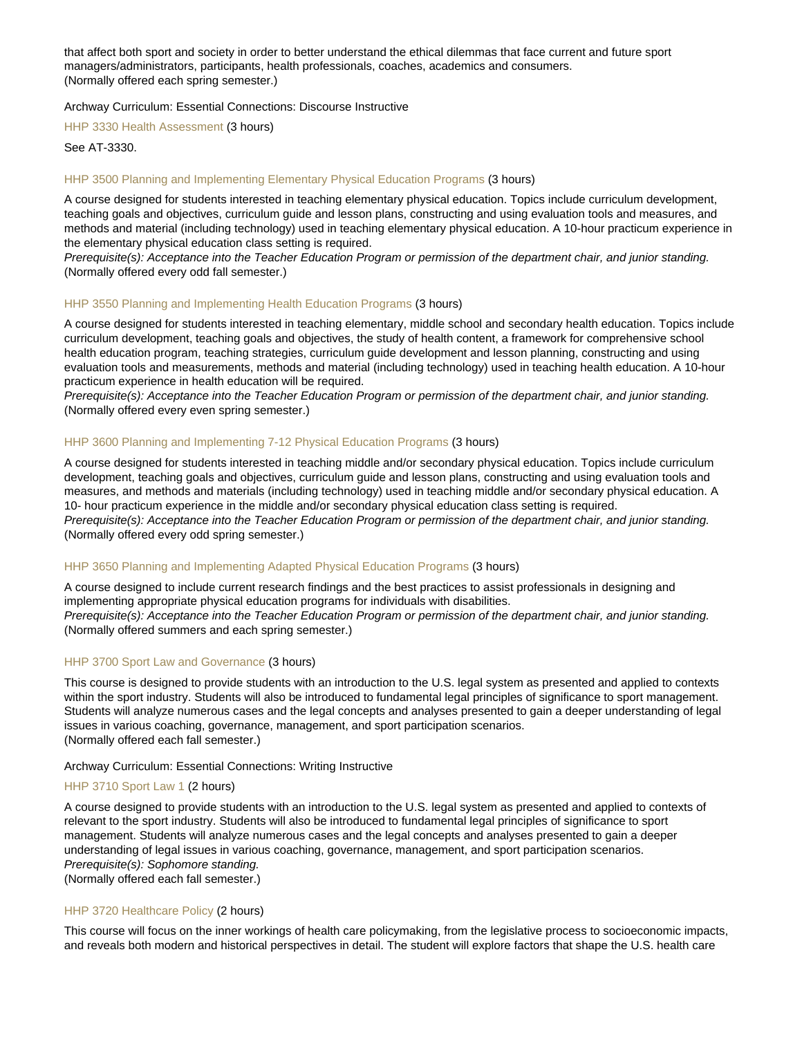that affect both sport and society in order to better understand the ethical dilemmas that face current and future sport managers/administrators, participants, health professionals, coaches, academics and consumers. (Normally offered each spring semester.)

Archway Curriculum: Essential Connections: Discourse Instructive

[HHP 3330 Health Assessment](https://catalog.nebrwesleyan.edu/node/317827) (3 hours)

See AT-3330.

# [HHP 3500 Planning and Implementing Elementary Physical Education Programs](https://catalog.nebrwesleyan.edu/node/317828) (3 hours)

A course designed for students interested in teaching elementary physical education. Topics include curriculum development, teaching goals and objectives, curriculum guide and lesson plans, constructing and using evaluation tools and measures, and methods and material (including technology) used in teaching elementary physical education. A 10-hour practicum experience in the elementary physical education class setting is required.

Prerequisite(s): Acceptance into the Teacher Education Program or permission of the department chair, and junior standing. (Normally offered every odd fall semester.)

#### [HHP 3550 Planning and Implementing Health Education Programs](https://catalog.nebrwesleyan.edu/node/317829) (3 hours)

A course designed for students interested in teaching elementary, middle school and secondary health education. Topics include curriculum development, teaching goals and objectives, the study of health content, a framework for comprehensive school health education program, teaching strategies, curriculum guide development and lesson planning, constructing and using evaluation tools and measurements, methods and material (including technology) used in teaching health education. A 10-hour practicum experience in health education will be required.

Prerequisite(s): Acceptance into the Teacher Education Program or permission of the department chair, and junior standing. (Normally offered every even spring semester.)

# [HHP 3600 Planning and Implementing 7-12 Physical Education Programs](https://catalog.nebrwesleyan.edu/node/317830) (3 hours)

A course designed for students interested in teaching middle and/or secondary physical education. Topics include curriculum development, teaching goals and objectives, curriculum guide and lesson plans, constructing and using evaluation tools and measures, and methods and materials (including technology) used in teaching middle and/or secondary physical education. A 10- hour practicum experience in the middle and/or secondary physical education class setting is required. Prerequisite(s): Acceptance into the Teacher Education Program or permission of the department chair, and junior standing. (Normally offered every odd spring semester.)

#### [HHP 3650 Planning and Implementing Adapted Physical Education Programs](https://catalog.nebrwesleyan.edu/node/317831) (3 hours)

A course designed to include current research findings and the best practices to assist professionals in designing and implementing appropriate physical education programs for individuals with disabilities. Prerequisite(s): Acceptance into the Teacher Education Program or permission of the department chair, and junior standing. (Normally offered summers and each spring semester.)

#### [HHP 3700 Sport Law and Governance](https://catalog.nebrwesleyan.edu/node/318616) (3 hours)

This course is designed to provide students with an introduction to the U.S. legal system as presented and applied to contexts within the sport industry. Students will also be introduced to fundamental legal principles of significance to sport management. Students will analyze numerous cases and the legal concepts and analyses presented to gain a deeper understanding of legal issues in various coaching, governance, management, and sport participation scenarios. (Normally offered each fall semester.)

#### Archway Curriculum: Essential Connections: Writing Instructive

# [HHP 3710 Sport Law 1](https://catalog.nebrwesleyan.edu/node/317832) (2 hours)

A course designed to provide students with an introduction to the U.S. legal system as presented and applied to contexts of relevant to the sport industry. Students will also be introduced to fundamental legal principles of significance to sport management. Students will analyze numerous cases and the legal concepts and analyses presented to gain a deeper understanding of legal issues in various coaching, governance, management, and sport participation scenarios. Prerequisite(s): Sophomore standing. (Normally offered each fall semester.)

# [HHP 3720 Healthcare Policy](https://catalog.nebrwesleyan.edu/node/320026) (2 hours)

This course will focus on the inner workings of health care policymaking, from the legislative process to socioeconomic impacts, and reveals both modern and historical perspectives in detail. The student will explore factors that shape the U.S. health care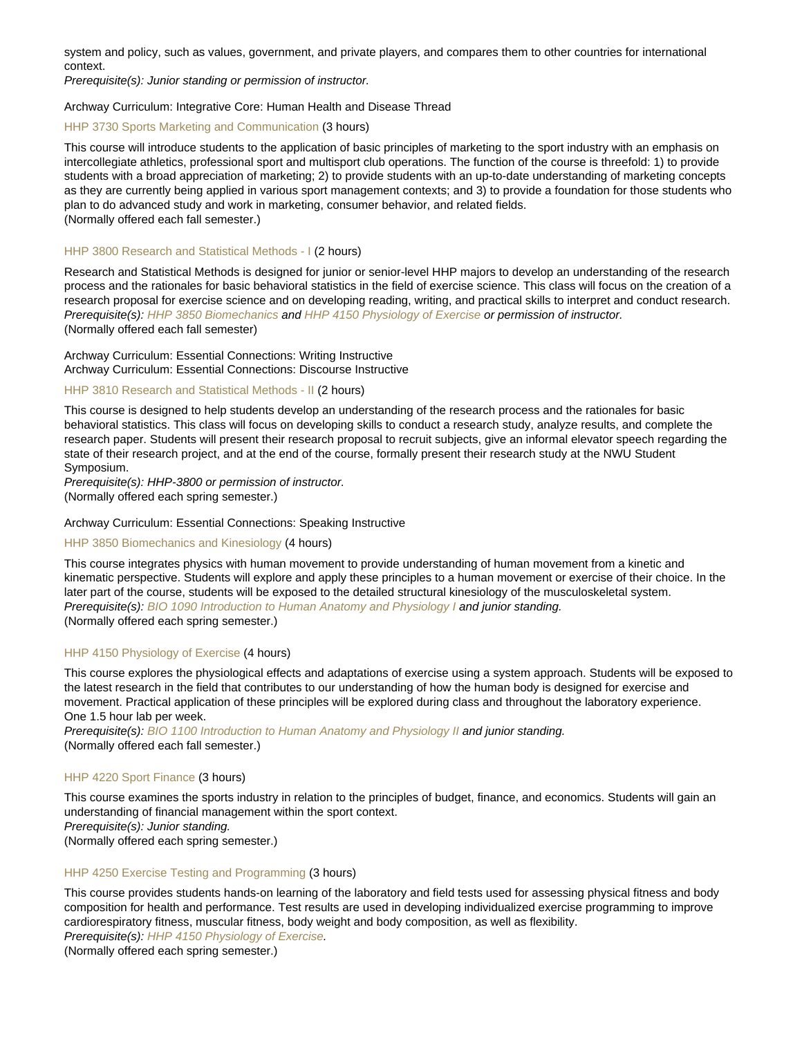system and policy, such as values, government, and private players, and compares them to other countries for international context.

Prerequisite(s): Junior standing or permission of instructor.

# Archway Curriculum: Integrative Core: Human Health and Disease Thread

# [HHP 3730 Sports Marketing and Communication](https://catalog.nebrwesleyan.edu/node/317833) (3 hours)

This course will introduce students to the application of basic principles of marketing to the sport industry with an emphasis on intercollegiate athletics, professional sport and multisport club operations. The function of the course is threefold: 1) to provide students with a broad appreciation of marketing; 2) to provide students with an up-to-date understanding of marketing concepts as they are currently being applied in various sport management contexts; and 3) to provide a foundation for those students who plan to do advanced study and work in marketing, consumer behavior, and related fields. (Normally offered each fall semester.)

#### [HHP 3800 Research and Statistical Methods - I](https://catalog.nebrwesleyan.edu/node/317835) (2 hours)

Research and Statistical Methods is designed for junior or senior-level HHP majors to develop an understanding of the research process and the rationales for basic behavioral statistics in the field of exercise science. This class will focus on the creation of a research proposal for exercise science and on developing reading, writing, and practical skills to interpret and conduct research. Prerequisite(s): [HHP 3850 Biomechanics](https://catalog.nebrwesleyan.edu/cc/2021-2022/course/360394) and [HHP 4150 Physiology of Exercise](https://catalog.nebrwesleyan.edu/cc/2021-2022/course/360397) or permission of instructor. (Normally offered each fall semester)

Archway Curriculum: Essential Connections: Writing Instructive Archway Curriculum: Essential Connections: Discourse Instructive

# [HHP 3810 Research and Statistical Methods - II](https://catalog.nebrwesleyan.edu/node/317836) (2 hours)

This course is designed to help students develop an understanding of the research process and the rationales for basic behavioral statistics. This class will focus on developing skills to conduct a research study, analyze results, and complete the research paper. Students will present their research proposal to recruit subjects, give an informal elevator speech regarding the state of their research project, and at the end of the course, formally present their research study at the NWU Student Symposium.

Prerequisite(s): HHP-3800 or permission of instructor.

(Normally offered each spring semester.)

#### Archway Curriculum: Essential Connections: Speaking Instructive

# [HHP 3850 Biomechanics and Kinesiology](https://catalog.nebrwesleyan.edu/node/317837) (4 hours)

This course integrates physics with human movement to provide understanding of human movement from a kinetic and kinematic perspective. Students will explore and apply these principles to a human movement or exercise of their choice. In the later part of the course, students will be exposed to the detailed structural kinesiology of the musculoskeletal system. Prerequisite(s): [BIO 1090 Introduction to Human Anatomy and Physiology I](https://catalog.nebrwesleyan.edu/cc/2021-2022/course/361238) and junior standing. (Normally offered each spring semester.)

#### [HHP 4150 Physiology of Exercise](https://catalog.nebrwesleyan.edu/node/317840) (4 hours)

This course explores the physiological effects and adaptations of exercise using a system approach. Students will be exposed to the latest research in the field that contributes to our understanding of how the human body is designed for exercise and movement. Practical application of these principles will be explored during class and throughout the laboratory experience. One 1.5 hour lab per week.

Prerequisite(s): [BIO 1100 Introduction to Human Anatomy and Physiology II](https://catalog.nebrwesleyan.edu/cc/2021-2022/course/361721) and junior standing. (Normally offered each fall semester.)

## [HHP 4220 Sport Finance](https://catalog.nebrwesleyan.edu/node/317842) (3 hours)

This course examines the sports industry in relation to the principles of budget, finance, and economics. Students will gain an understanding of financial management within the sport context. Prerequisite(s): Junior standing. (Normally offered each spring semester.)

#### [HHP 4250 Exercise Testing and Programming](https://catalog.nebrwesleyan.edu/node/317843) (3 hours)

This course provides students hands-on learning of the laboratory and field tests used for assessing physical fitness and body composition for health and performance. Test results are used in developing individualized exercise programming to improve cardiorespiratory fitness, muscular fitness, body weight and body composition, as well as flexibility. Prerequisite(s): [HHP 4150 Physiology of Exercise](https://catalog.nebrwesleyan.edu/cc/2017-2018/course/317840).

(Normally offered each spring semester.)